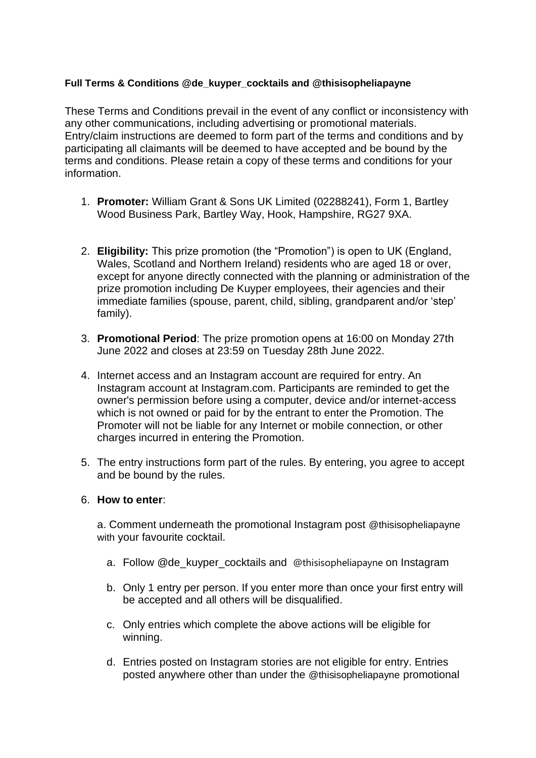### **Full Terms & Conditions @de\_kuyper\_cocktails and [@thisisopheliapayne](https://www.instagram.com/bodega.ritas/?hl=en)**

These Terms and Conditions prevail in the event of any conflict or inconsistency with any other communications, including advertising or promotional materials. Entry/claim instructions are deemed to form part of the terms and conditions and by participating all claimants will be deemed to have accepted and be bound by the terms and conditions. Please retain a copy of these terms and conditions for your information.

- 1. **Promoter:** William Grant & Sons UK Limited (02288241), Form 1, Bartley Wood Business Park, Bartley Way, Hook, Hampshire, RG27 9XA.
- 2. **Eligibility:** This prize promotion (the "Promotion") is open to UK (England, Wales, Scotland and Northern Ireland) residents who are aged 18 or over, except for anyone directly connected with the planning or administration of the prize promotion including De Kuyper employees, their agencies and their immediate families (spouse, parent, child, sibling, grandparent and/or 'step' family).
- 3. **Promotional Period**: The prize promotion opens at 16:00 on Monday 27th June 2022 and closes at 23:59 on Tuesday 28th June 2022.
- 4. Internet access and an Instagram account are required for entry. An Instagram account at Instagram.com. Participants are reminded to get the owner's permission before using a computer, device and/or internet-access which is not owned or paid for by the entrant to enter the Promotion. The Promoter will not be liable for any Internet or mobile connection, or other charges incurred in entering the Promotion.
- 5. The entry instructions form part of the rules. By entering, you agree to accept and be bound by the rules.

### 6. **How to enter**:

a. Comment underneath the promotional Instagram post @thisisopheliapayne with your favourite cocktail.

- a. Follow @de\_kuyper\_cocktails and [@thisisopheliapayne](https://www.instagram.com/bodega.ritas/?hl=en) on Instagram
- b. Only 1 entry per person. If you enter more than once your first entry will be accepted and all others will be disqualified.
- c. Only entries which complete the above actions will be eligible for winning.
- d. Entries posted on Instagram stories are not eligible for entry. Entries posted anywhere other than under the @thisisopheliapayne promotional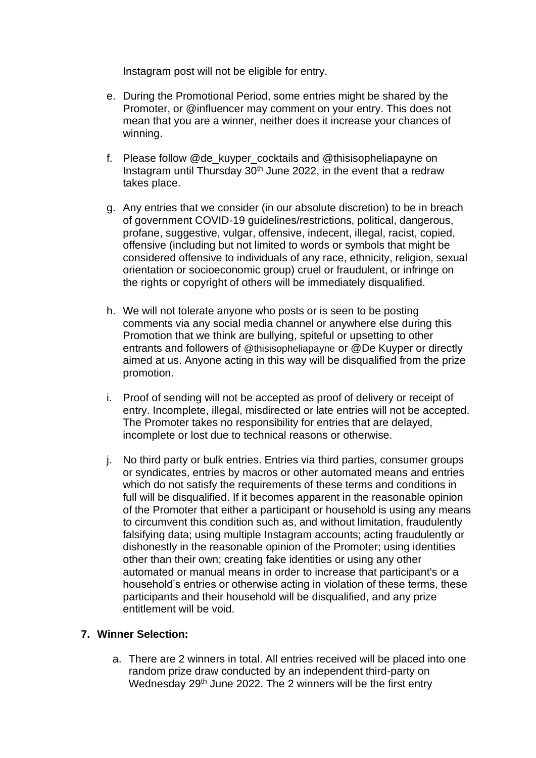Instagram post will not be eligible for entry.

- e. During the Promotional Period, some entries might be shared by the Promoter, or @influencer may comment on your entry. This does not mean that you are a winner, neither does it increase your chances of winning.
- f. Please follow @de\_kuyper\_cocktails and @thisisopheliapayne on Instagram until Thursday 30th June 2022, in the event that a redraw takes place.
- g. Any entries that we consider (in our absolute discretion) to be in breach of government COVID-19 guidelines/restrictions, political, dangerous, profane, suggestive, vulgar, offensive, indecent, illegal, racist, copied, offensive (including but not limited to words or symbols that might be considered offensive to individuals of any race, ethnicity, religion, sexual orientation or socioeconomic group) cruel or fraudulent, or infringe on the rights or copyright of others will be immediately disqualified.
- h. We will not tolerate anyone who posts or is seen to be posting comments via any social media channel or anywhere else during this Promotion that we think are bullying, spiteful or upsetting to other entrants and followers of @thisisopheliapayne or @De Kuyper or directly aimed at us. Anyone acting in this way will be disqualified from the prize promotion.
- i. Proof of sending will not be accepted as proof of delivery or receipt of entry. Incomplete, illegal, misdirected or late entries will not be accepted. The Promoter takes no responsibility for entries that are delayed, incomplete or lost due to technical reasons or otherwise.
- j. No third party or bulk entries. Entries via third parties, consumer groups or syndicates, entries by macros or other automated means and entries which do not satisfy the requirements of these terms and conditions in full will be disqualified. If it becomes apparent in the reasonable opinion of the Promoter that either a participant or household is using any means to circumvent this condition such as, and without limitation, fraudulently falsifying data; using multiple Instagram accounts; acting fraudulently or dishonestly in the reasonable opinion of the Promoter; using identities other than their own; creating fake identities or using any other automated or manual means in order to increase that participant's or a household's entries or otherwise acting in violation of these terms, these participants and their household will be disqualified, and any prize entitlement will be void.

### **7. Winner Selection:**

a. There are 2 winners in total. All entries received will be placed into one random prize draw conducted by an independent third-party on Wednesday 29<sup>th</sup> June 2022. The 2 winners will be the first entry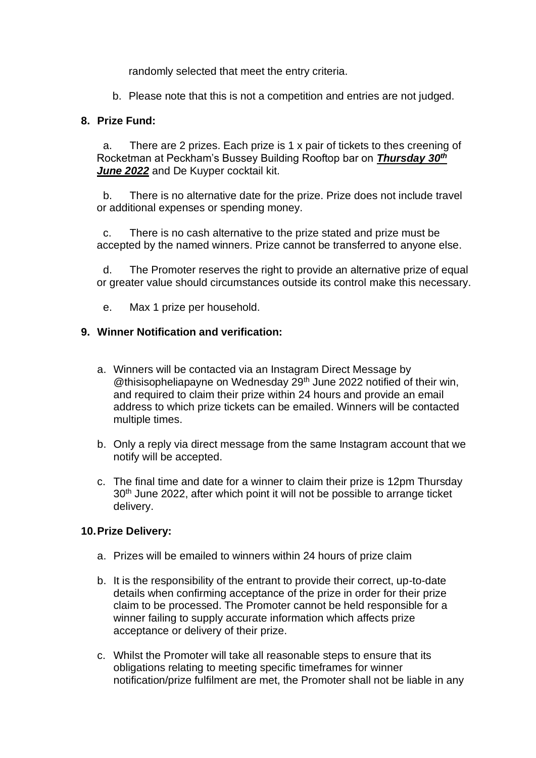randomly selected that meet the entry criteria.

b. Please note that this is not a competition and entries are not judged.

### **8. Prize Fund:**

a. There are 2 prizes. Each prize is 1 x pair of tickets to thes creening of Rocketman at Peckham's Bussey Building Rooftop bar on *Thursday 30th June 2022* and De Kuyper cocktail kit.

b. There is no alternative date for the prize. Prize does not include travel or additional expenses or spending money.

c. There is no cash alternative to the prize stated and prize must be accepted by the named winners. Prize cannot be transferred to anyone else.

d. The Promoter reserves the right to provide an alternative prize of equal or greater value should circumstances outside its control make this necessary.

e. Max 1 prize per household.

### **9. Winner Notification and verification:**

- a. Winners will be contacted via an Instagram Direct Message by @thisisopheliapayne on Wednesday 29<sup>th</sup> June 2022 notified of their win, and required to claim their prize within 24 hours and provide an email address to which prize tickets can be emailed. Winners will be contacted multiple times.
- b. Only a reply via direct message from the same Instagram account that we notify will be accepted.
- c. The final time and date for a winner to claim their prize is 12pm Thursday 30<sup>th</sup> June 2022, after which point it will not be possible to arrange ticket delivery.

### **10.Prize Delivery:**

- a. Prizes will be emailed to winners within 24 hours of prize claim
- b. It is the responsibility of the entrant to provide their correct, up-to-date details when confirming acceptance of the prize in order for their prize claim to be processed. The Promoter cannot be held responsible for a winner failing to supply accurate information which affects prize acceptance or delivery of their prize.
- c. Whilst the Promoter will take all reasonable steps to ensure that its obligations relating to meeting specific timeframes for winner notification/prize fulfilment are met, the Promoter shall not be liable in any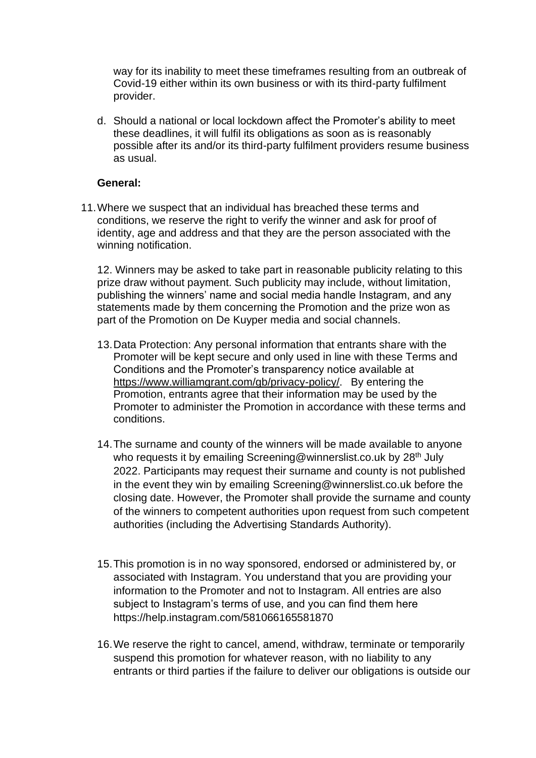way for its inability to meet these timeframes resulting from an outbreak of Covid-19 either within its own business or with its third-party fulfilment provider.

d. Should a national or local lockdown affect the Promoter's ability to meet these deadlines, it will fulfil its obligations as soon as is reasonably possible after its and/or its third-party fulfilment providers resume business as usual.

#### **General:**

11.Where we suspect that an individual has breached these terms and conditions, we reserve the right to verify the winner and ask for proof of identity, age and address and that they are the person associated with the winning notification.

12. Winners may be asked to take part in reasonable publicity relating to this prize draw without payment. Such publicity may include, without limitation, publishing the winners' name and social media handle Instagram, and any statements made by them concerning the Promotion and the prize won as part of the Promotion on De Kuyper media and social channels.

- 13.Data Protection: Any personal information that entrants share with the Promoter will be kept secure and only used in line with these Terms and Conditions and the Promoter's transparency notice available at [https://www.williamgrant.com/gb/privacy-policy/.](https://eur01.safelinks.protection.outlook.com/?url=https%3A%2F%2Fwww.williamgrant.com%2Fgb%2Fprivacy-policy%2F&data=05%7C01%7CKaren.Daly%40wgrant.com%7C63c17c7678c4482478f008da23a87f4a%7Cca29e3f5cee34b64ad11fea04ae28493%7C0%7C0%7C637861503846123243%7CUnknown%7CTWFpbGZsb3d8eyJWIjoiMC4wLjAwMDAiLCJQIjoiV2luMzIiLCJBTiI6Ik1haWwiLCJXVCI6Mn0%3D%7C3000%7C%7C%7C&sdata=kFu1NV1PINyrmjnQzQT9wBQEe%2FUMtGblPrqsFvVNPMc%3D&reserved=0) By entering the Promotion, entrants agree that their information may be used by the Promoter to administer the Promotion in accordance with these terms and conditions.
- 14.The surname and county of the winners will be made available to anyone who requests it by emailing Screening@winnerslist.co.uk by 28<sup>th</sup> July 2022. Participants may request their surname and county is not published in the event they win by emailing Screening@winnerslist.co.uk before the closing date. However, the Promoter shall provide the surname and county of the winners to competent authorities upon request from such competent authorities (including the Advertising Standards Authority).
- 15.This promotion is in no way sponsored, endorsed or administered by, or associated with Instagram. You understand that you are providing your information to the Promoter and not to Instagram. All entries are also subject to Instagram's terms of use, and you can find them here https://help.instagram.com/581066165581870
- 16.We reserve the right to cancel, amend, withdraw, terminate or temporarily suspend this promotion for whatever reason, with no liability to any entrants or third parties if the failure to deliver our obligations is outside our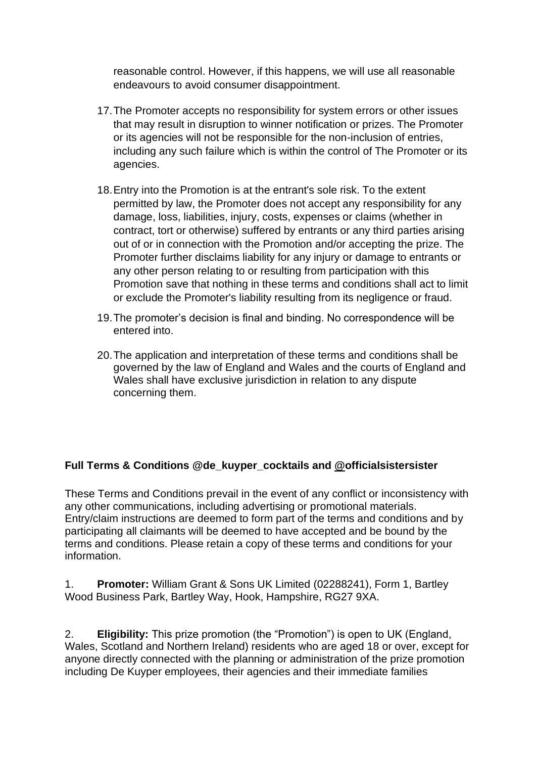reasonable control. However, if this happens, we will use all reasonable endeavours to avoid consumer disappointment.

- 17.The Promoter accepts no responsibility for system errors or other issues that may result in disruption to winner notification or prizes. The Promoter or its agencies will not be responsible for the non-inclusion of entries, including any such failure which is within the control of The Promoter or its agencies.
- 18.Entry into the Promotion is at the entrant's sole risk. To the extent permitted by law, the Promoter does not accept any responsibility for any damage, loss, liabilities, injury, costs, expenses or claims (whether in contract, tort or otherwise) suffered by entrants or any third parties arising out of or in connection with the Promotion and/or accepting the prize. The Promoter further disclaims liability for any injury or damage to entrants or any other person relating to or resulting from participation with this Promotion save that nothing in these terms and conditions shall act to limit or exclude the Promoter's liability resulting from its negligence or fraud.
- 19.The promoter's decision is final and binding. No correspondence will be entered into.
- 20.The application and interpretation of these terms and conditions shall be governed by the law of England and Wales and the courts of England and Wales shall have exclusive jurisdiction in relation to any dispute concerning them.

# **Full Terms & Conditions @de\_kuyper\_cocktails and [@officialsistersister](https://www.instagram.com/bodega.ritas/?hl=en)**

These Terms and Conditions prevail in the event of any conflict or inconsistency with any other communications, including advertising or promotional materials. Entry/claim instructions are deemed to form part of the terms and conditions and by participating all claimants will be deemed to have accepted and be bound by the terms and conditions. Please retain a copy of these terms and conditions for your information.

1. **Promoter:** William Grant & Sons UK Limited (02288241), Form 1, Bartley Wood Business Park, Bartley Way, Hook, Hampshire, RG27 9XA.

2. **Eligibility:** This prize promotion (the "Promotion") is open to UK (England, Wales, Scotland and Northern Ireland) residents who are aged 18 or over, except for anyone directly connected with the planning or administration of the prize promotion including De Kuyper employees, their agencies and their immediate families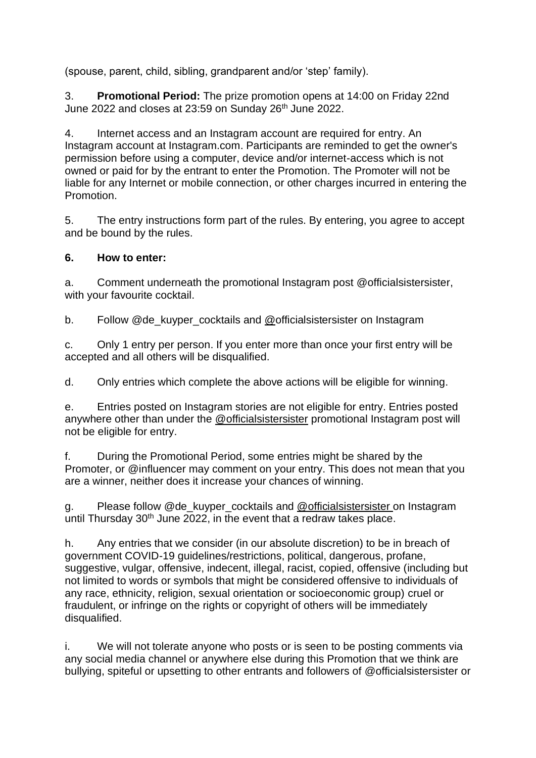(spouse, parent, child, sibling, grandparent and/or 'step' family).

3. **Promotional Period:** The prize promotion opens at 14:00 on Friday 22nd June 2022 and closes at 23:59 on Sunday 26<sup>th</sup> June 2022.

4. Internet access and an Instagram account are required for entry. An Instagram account at Instagram.com. Participants are reminded to get the owner's permission before using a computer, device and/or internet-access which is not owned or paid for by the entrant to enter the Promotion. The Promoter will not be liable for any Internet or mobile connection, or other charges incurred in entering the Promotion.

5. The entry instructions form part of the rules. By entering, you agree to accept and be bound by the rules.

## **6. How to enter:**

a. Comment underneath the promotional Instagram post @officialsistersister, with your favourite cocktail.

b. Follow @de\_kuyper\_cocktails and [@officialsistersister](https://www.instagram.com/bodega.ritas/?hl=en) on Instagram

c. Only 1 entry per person. If you enter more than once your first entry will be accepted and all others will be disqualified.

d. Only entries which complete the above actions will be eligible for winning.

e. Entries posted on Instagram stories are not eligible for entry. Entries posted anywhere other than under the [@officialsistersister](http://www.instagram/whatwillcook) promotional Instagram post will not be eligible for entry.

f. During the Promotional Period, some entries might be shared by the Promoter, or @influencer may comment on your entry. This does not mean that you are a winner, neither does it increase your chances of winning.

g. Please follow @de\_kuyper\_cocktails and [@officialsistersister](http://www.instagram/whatwillcook) on Instagram until Thursday  $30<sup>th</sup>$  June 2022, in the event that a redraw takes place.

h. Any entries that we consider (in our absolute discretion) to be in breach of government COVID-19 guidelines/restrictions, political, dangerous, profane, suggestive, vulgar, offensive, indecent, illegal, racist, copied, offensive (including but not limited to words or symbols that might be considered offensive to individuals of any race, ethnicity, religion, sexual orientation or socioeconomic group) cruel or fraudulent, or infringe on the rights or copyright of others will be immediately disqualified.

i. We will not tolerate anyone who posts or is seen to be posting comments via any social media channel or anywhere else during this Promotion that we think are bullying, spiteful or upsetting to other entrants and followers of @officialsistersister or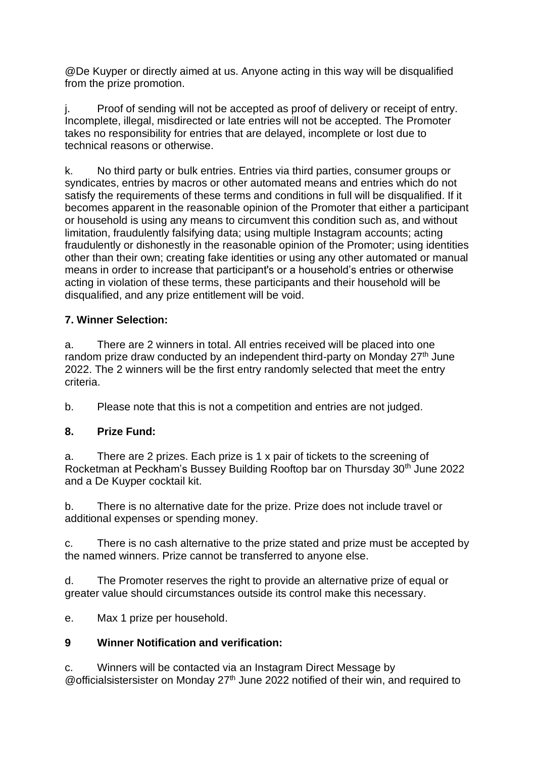@De Kuyper or directly aimed at us. Anyone acting in this way will be disqualified from the prize promotion.

j. Proof of sending will not be accepted as proof of delivery or receipt of entry. Incomplete, illegal, misdirected or late entries will not be accepted. The Promoter takes no responsibility for entries that are delayed, incomplete or lost due to technical reasons or otherwise.

k. No third party or bulk entries. Entries via third parties, consumer groups or syndicates, entries by macros or other automated means and entries which do not satisfy the requirements of these terms and conditions in full will be disqualified. If it becomes apparent in the reasonable opinion of the Promoter that either a participant or household is using any means to circumvent this condition such as, and without limitation, fraudulently falsifying data; using multiple Instagram accounts; acting fraudulently or dishonestly in the reasonable opinion of the Promoter; using identities other than their own; creating fake identities or using any other automated or manual means in order to increase that participant's or a household's entries or otherwise acting in violation of these terms, these participants and their household will be disqualified, and any prize entitlement will be void.

## **7. Winner Selection:**

a. There are 2 winners in total. All entries received will be placed into one random prize draw conducted by an independent third-party on Monday 27<sup>th</sup> June 2022. The 2 winners will be the first entry randomly selected that meet the entry criteria.

b. Please note that this is not a competition and entries are not judged.

## **8. Prize Fund:**

a. There are 2 prizes. Each prize is 1 x pair of tickets to the screening of Rocketman at Peckham's Bussey Building Rooftop bar on Thursday 30th June 2022 and a De Kuyper cocktail kit.

b. There is no alternative date for the prize. Prize does not include travel or additional expenses or spending money.

c. There is no cash alternative to the prize stated and prize must be accepted by the named winners. Prize cannot be transferred to anyone else.

d. The Promoter reserves the right to provide an alternative prize of equal or greater value should circumstances outside its control make this necessary.

e. Max 1 prize per household.

# **9 Winner Notification and verification:**

c. Winners will be contacted via an Instagram Direct Message by @ official sistersister on Monday  $27<sup>th</sup>$  June 2022 notified of their win, and required to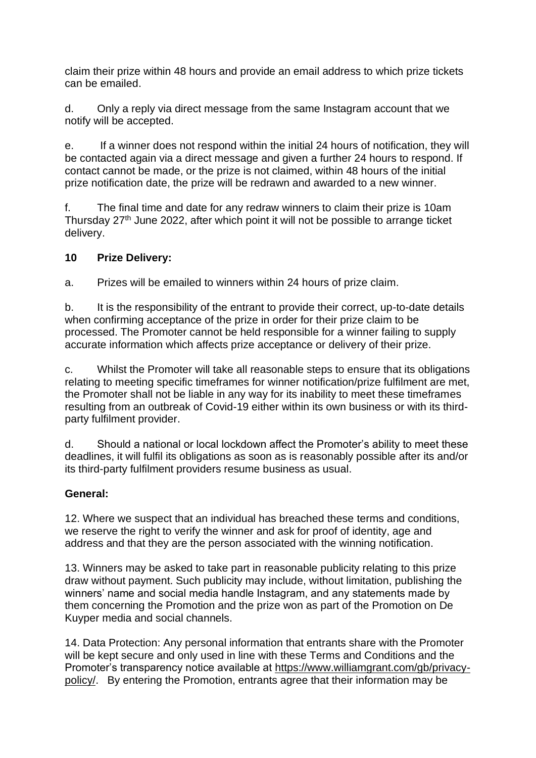claim their prize within 48 hours and provide an email address to which prize tickets can be emailed.

d. Only a reply via direct message from the same Instagram account that we notify will be accepted.

e. If a winner does not respond within the initial 24 hours of notification, they will be contacted again via a direct message and given a further 24 hours to respond. If contact cannot be made, or the prize is not claimed, within 48 hours of the initial prize notification date, the prize will be redrawn and awarded to a new winner.

f. The final time and date for any redraw winners to claim their prize is 10am Thursday 27<sup>th</sup> June 2022, after which point it will not be possible to arrange ticket delivery.

## **10 Prize Delivery:**

a. Prizes will be emailed to winners within 24 hours of prize claim.

b. It is the responsibility of the entrant to provide their correct, up-to-date details when confirming acceptance of the prize in order for their prize claim to be processed. The Promoter cannot be held responsible for a winner failing to supply accurate information which affects prize acceptance or delivery of their prize.

c. Whilst the Promoter will take all reasonable steps to ensure that its obligations relating to meeting specific timeframes for winner notification/prize fulfilment are met, the Promoter shall not be liable in any way for its inability to meet these timeframes resulting from an outbreak of Covid-19 either within its own business or with its thirdparty fulfilment provider.

d. Should a national or local lockdown affect the Promoter's ability to meet these deadlines, it will fulfil its obligations as soon as is reasonably possible after its and/or its third-party fulfilment providers resume business as usual.

## **General:**

12. Where we suspect that an individual has breached these terms and conditions, we reserve the right to verify the winner and ask for proof of identity, age and address and that they are the person associated with the winning notification.

13. Winners may be asked to take part in reasonable publicity relating to this prize draw without payment. Such publicity may include, without limitation, publishing the winners' name and social media handle Instagram, and any statements made by them concerning the Promotion and the prize won as part of the Promotion on De Kuyper media and social channels.

14. Data Protection: Any personal information that entrants share with the Promoter will be kept secure and only used in line with these Terms and Conditions and the Promoter's transparency notice available at [https://www.williamgrant.com/gb/privacy](https://eur01.safelinks.protection.outlook.com/?url=https%3A%2F%2Fwww.williamgrant.com%2Fgb%2Fprivacy-policy%2F&data=05%7C01%7CKaren.Daly%40wgrant.com%7C63c17c7678c4482478f008da23a87f4a%7Cca29e3f5cee34b64ad11fea04ae28493%7C0%7C0%7C637861503846123243%7CUnknown%7CTWFpbGZsb3d8eyJWIjoiMC4wLjAwMDAiLCJQIjoiV2luMzIiLCJBTiI6Ik1haWwiLCJXVCI6Mn0%3D%7C3000%7C%7C%7C&sdata=kFu1NV1PINyrmjnQzQT9wBQEe%2FUMtGblPrqsFvVNPMc%3D&reserved=0)[policy/.](https://eur01.safelinks.protection.outlook.com/?url=https%3A%2F%2Fwww.williamgrant.com%2Fgb%2Fprivacy-policy%2F&data=05%7C01%7CKaren.Daly%40wgrant.com%7C63c17c7678c4482478f008da23a87f4a%7Cca29e3f5cee34b64ad11fea04ae28493%7C0%7C0%7C637861503846123243%7CUnknown%7CTWFpbGZsb3d8eyJWIjoiMC4wLjAwMDAiLCJQIjoiV2luMzIiLCJBTiI6Ik1haWwiLCJXVCI6Mn0%3D%7C3000%7C%7C%7C&sdata=kFu1NV1PINyrmjnQzQT9wBQEe%2FUMtGblPrqsFvVNPMc%3D&reserved=0) By entering the Promotion, entrants agree that their information may be